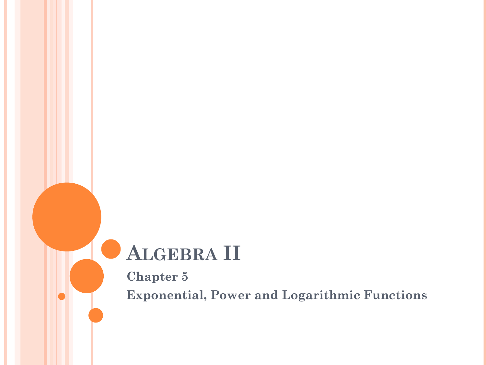# **ALGEBRA II**

**Chapter 5**

**Exponential, Power and Logarithmic Functions**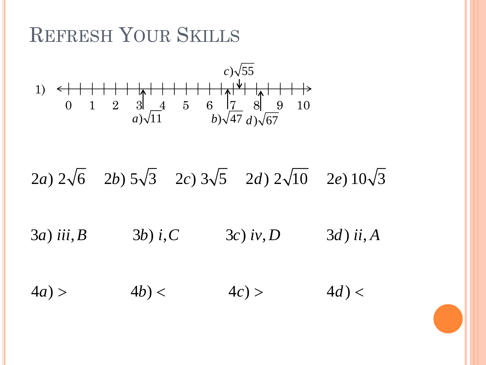### REFRESH YOUR SKILLS



 $(2a) 2\sqrt{6}$  2b)  $5\sqrt{3}$  2c)  $3\sqrt{5}$  2d)  $2\sqrt{10}$  2e)  $10\sqrt{3}$ 

3*a*) *iii, B* 3*b*) *i, C* 3*c*) *iv, D* 3*d*) *ii, A* 

 $4a$  >  $4b$  <  $4c$  >  $4d$  <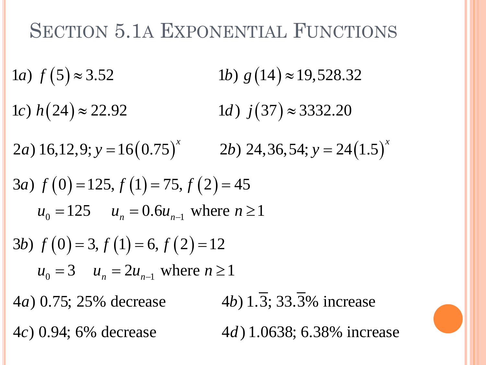## SECTION 5.1A EXPONENTIAL FUNCTIONS

- 1a)  $f(5) \approx 3.52$  1b)  $g(14) \approx 19,528.32$
- 1c)  $h(24) \approx 22.92$  *d)*  $j(37) \approx 3332.20$
- 2*a*) 16,12,9;  $y = 16(0.75)^{x}$  2*b*) 24,36,54;  $y = 24(1.5)$ *b*) 24, 36, 54;  $y = 24(1.5)^{x}$
- $(3a) f(0) = 125, f(1) = 75, f(2) = 45$  $u_0 = 125$   $u_n = 0.6u_{n-1}$  where  $n \ge 1$

$$
3b) f(0) = 3, f(1) = 6, f(2) = 12
$$

$$
u_0 = 3 \quad u_n = 2u_{n-1} \text{ where } n \ge 1
$$

4*a*) 0.75; 25% decrease  $4b$  1.3; 33.3% increase

4c) 0.94; 6% decrease *4d*) 1.0638; 6.38% increase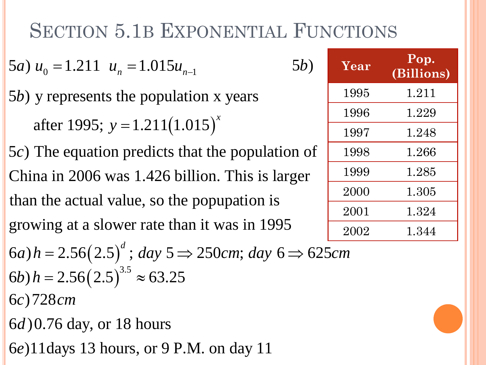# SECTION 5.1B EXPONENTIAL FUNCTIONS

5*a*) 
$$
u_0 = 1.211
$$
  $u_n = 1.015u_{n-1}$  5*b*)

5*b*) y represents the population x years

after 1995;  $y = 1.211(1.015)^x$ 

5c) The equation predicts that the population of China in 2006 was 1.426 billion. This is larger than the actual value, so the popupation is growing at a slower rate than it was in 1995

$$
6a) h = 2.56(2.5)^d; day 5 \Rightarrow 250cm; day 6 \Rightarrow 625cm
$$
  

$$
6b) h = 2.56(2.5)^{3.5} \approx 63.25
$$

6*c*) /28 *cm* 

6 )0.76 day, or 18 hours *d*

6 )11days 13 hours, or 9 P.M. on day 11 *e*

|  | Year | Pop.<br>(Billions) |
|--|------|--------------------|
|  | 1995 | 1.211              |
|  | 1996 | 1.229              |
|  | 1997 | 1.248              |
|  | 1998 | 1.266              |
|  | 1999 | 1.285              |
|  | 2000 | 1.305              |
|  | 2001 | 1.324              |
|  | 2002 | 1.344              |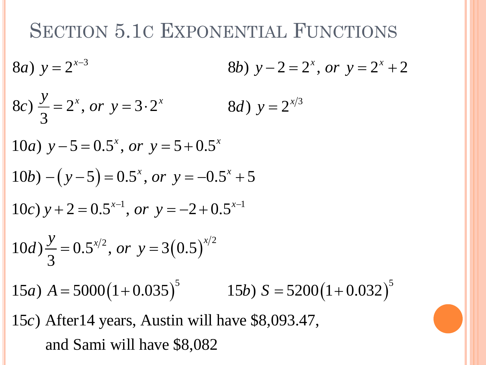### SECTION 5.1C EXPONENTIAL FUNCTIONS

8*a*)  $y = 2^{x-3}$ *a s b y*  $-2 = 2^x$ , *or y* =  $2^x + 2$ 8c)  $\frac{y}{3} = 2^x$ , or  $y = 3 \cdot 2$  $y = 2^x$  or  $y = 2.2^x$ *c*)  $\frac{y}{2} = 2^x$ , or  $y = 3$ . 8*d*)  $y = 2^{x/3}$ 10*a*)  $y - 5 = 0.5^x$ , or  $y = 5 + 0.5^x$  $10b) - (y-5) = 0.5^x$ , or  $y = -0.5^x + 5$ 15*a*)  $A = 5000(1+0.035)^5$  15*b*)  $S = 5200(1+0.032)^5$ 15c) After14 years, Austin will have \$8,093.47, and Sami will have \$8,082  $10c$ )  $y + 2 = 0.5^{x-1}$ , or  $y = -2 + 0.5^{x-1}$  $(10d) \frac{y}{3} = 0.5^{x/2}, or y = 3(0.5)^{x/2}$  $y = 0.5^{x/2}, or y = 3(0.5)^{x}$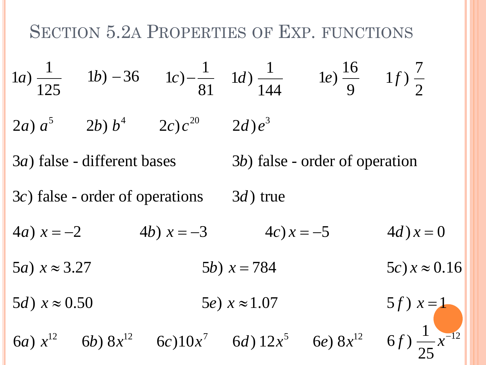## SECTION 5.2A PROPERTIES OF EXP. FUNCTIONS

|                                               |                                      |                                            | 1a) $\frac{1}{125}$ 1b) -36 1c) $-\frac{1}{81}$ 1d) $\frac{1}{144}$ 1e) $\frac{16}{9}$ 1f) $\frac{7}{2}$ |  |                                                                                                                                                                                                                                                           |  |
|-----------------------------------------------|--------------------------------------|--------------------------------------------|----------------------------------------------------------------------------------------------------------|--|-----------------------------------------------------------------------------------------------------------------------------------------------------------------------------------------------------------------------------------------------------------|--|
|                                               |                                      | 2a) $a^5$ 2b) $b^4$ 2c) $c^{20}$ 2d) $e^3$ |                                                                                                          |  |                                                                                                                                                                                                                                                           |  |
|                                               | 3 <i>a</i> ) false - different bases |                                            | 3b) false - order of operation                                                                           |  |                                                                                                                                                                                                                                                           |  |
| 3c) false - order of operations<br>$3d)$ true |                                      |                                            |                                                                                                          |  |                                                                                                                                                                                                                                                           |  |
| $(4a) x = -2$                                 |                                      |                                            | $4b) x = -3$ $4c) x = -5$                                                                                |  | $4d$ ) $x = 0$                                                                                                                                                                                                                                            |  |
| $5a) x \approx 3.27$                          |                                      |                                            | 5 <i>b</i> ) $x = 784$                                                                                   |  | $5c$ ) $x \approx 0.16$                                                                                                                                                                                                                                   |  |
|                                               |                                      |                                            | 5e) $x \approx 1.07$                                                                                     |  |                                                                                                                                                                                                                                                           |  |
|                                               |                                      |                                            |                                                                                                          |  | 5 <i>d</i> ) $x \approx 0.50$<br>5 <i>e</i> ) $x \approx 1.07$<br>5 <i>f</i> ) $x = 1$<br>6 <i>a</i> ) $x^{12}$<br>6 <i>b</i> ) $8x^{12}$<br>6 <i>c</i> ) $10x^7$<br>6 <i>d</i> ) $12x^5$<br>6 <i>e</i> ) $8x^{12}$<br>6 <i>f</i> ) $\frac{1}{25}x^{-12}$ |  |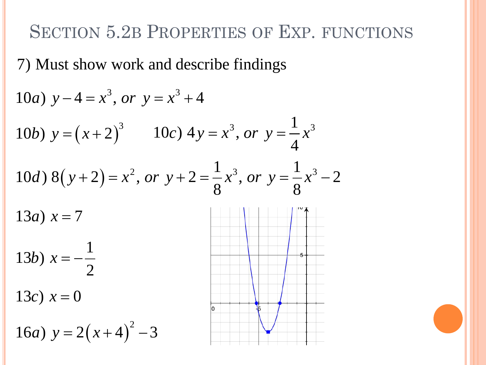SECTION 5.2B PROPERTIES OF EXP. FUNCTIONS

7) Must show work and describe findings

10*a*) 
$$
y-4=x^3
$$
, or  $y = x^3 + 4$ 

10b) 
$$
y = (x+2)^3
$$
 10c)  $4y = x^3$ , or  $y = \frac{1}{4}x^3$ 

10d) 
$$
8(y+2) = x^2
$$
, or  $y+2 = \frac{1}{8}x^3$ , or  $y = \frac{1}{8}x^3 - 2$ 

13*a*)  $x = 7$ 13*b*)  $x = -\frac{1}{2}$ *b*)  $x = -$ 13 $c$ )  $x = 0$ 16*a*)  $y = 2(x+4)^2 - 3$ 

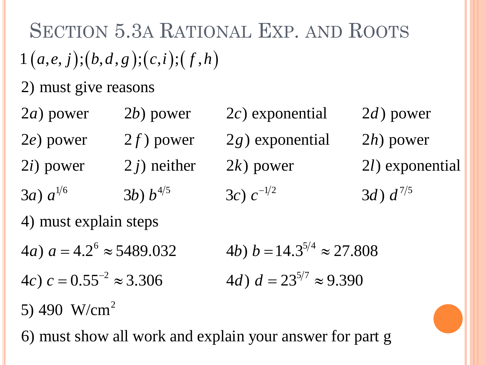# SECTION 5.3A RATIONAL EXP. AND ROOTS  $1(a, e, j); (b, d, g); (c, i); (f, h)$

#### 2) must give reasons

| $2a)$ power   | 2 <i>b</i> ) power | $2c)$ exponential | $2d$ ) power             |
|---------------|--------------------|-------------------|--------------------------|
| 2e) power     | $2f$ ) power       | $2g)$ exponential | $2h)$ power              |
| $2i)$ power   | $2j$ ) neither     | $2k)$ power       | 2 <i>l</i> ) exponential |
| 3a) $a^{1/6}$ | $3b) b^{4/5}$      | $3c) c^{-1/2}$    | 3d) $d^{7/5}$            |

4) must explain steps

 $4c$ )  $c = 0.55^{-2} \approx 3.306$ 

4*b*)  $b = 14.3^{5/4} \approx 27.808$ 4*a*)  $a = 4.2^6 \approx 5489.032$ 4*d*)  $d = 23^{5/7} \approx 9.390$ 

- 5) 490  $W/cm<sup>2</sup>$
- 6) must show all work and explain your answer for part g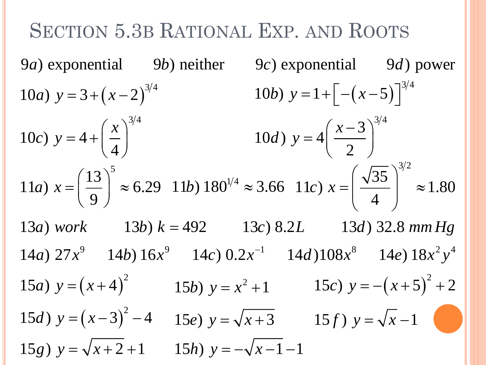# **SECTION 5.3B RATIONAL EXP. AND ROOTS**  $(9a)$  exponential  $(9b)$  neither  $9c)$  exponential  $9d)$  power 10b)  $y = 1 + [-(x-5)]^{3/4}$ 10a)  $y = 3 + (x-2)^{3/4}$ 10c)  $y = 4 + \left(\frac{x}{4}\right)^{3/4}$ 10d)  $y = 4\left(\frac{x-3}{2}\right)^{3/4}$ 11a)  $x = \left(\frac{13}{9}\right)^5 \approx 6.29$  11b)  $180^{1/4} \approx 3.66$  11c)  $x = \left(\frac{\sqrt{35}}{4}\right)^{3/2} \approx 1.80$ 13a) work 13b)  $k = 492$  13c) 8.2L 13d) 32.8 mm Hg 14a)  $27x^9$  14b)  $16x^9$  14c)  $0.2x^{-1}$  14d)  $108x^8$  14e)  $18x^2y^4$ 15a)  $y = (x+4)^2$  15b)  $y = x^2 + 1$  15c)  $y = -(x+5)^2 + 2$ 15d)  $y = (x-3)^2 - 4$  15e)  $y = \sqrt{x+3}$  15f)  $y = \sqrt{x-1}$ 15*h*)  $y = -\sqrt{x-1-1}$  $15g$ )  $y = \sqrt{x+2}+1$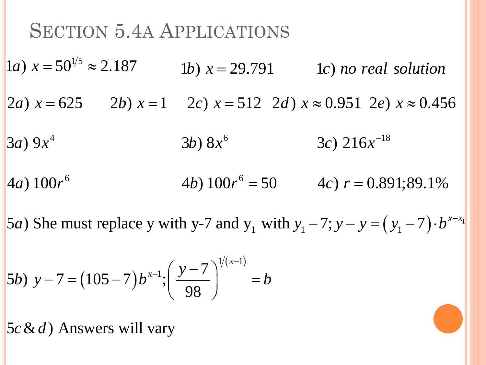### SECTION 5.4A APPLICATIONS

 $(a) x = 50^{1/5} \approx 2.187$  *b*  $x = 29.791$  *lc) no real solution*  $2a) x = 625$  *zb*  $x = 1$  *zc*  $x = 512$  *zd*  $x \approx 0.951$  *ze*  $x \approx 0.456$  $(3a) 9x^4$  $(3b) 8x<sup>6</sup>$   $3c) 216x<sup>-18</sup>$  $(4b) 100r^6 = 50$  *dc)*  $r = 0.891;89.1\%$  $(4a) 100r^6$ 

5*a*) She must replace y with y-7 and y<sub>1</sub> with  $y_1 - 7$ ;  $y - y = (y_1 - 7) \cdot b^{x - x_1}$ 

5b) 
$$
y-7 = (105-7)b^{x-1}; \left(\frac{y-7}{98}\right)^{1/(x-1)} = b
$$

5c & d) Answers will vary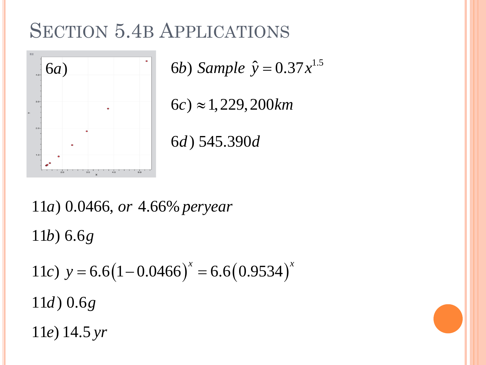# **SECTION 5.4B APPLICATIONS**



6b) Sample  $\hat{y} = 0.37x^{1.5}$ 

 $(6c) \approx 1,229,200 km$ 

6d) 545.390d

11a) 0.0466, or 4.66% peryear  $11b) 6.6g$ 

$$
11c) \, y = 6.6(1 - 0.0466)^x = 6.6(0.9534)^x
$$

 $11d) 0.6g$ 

11e)  $14.5 yr$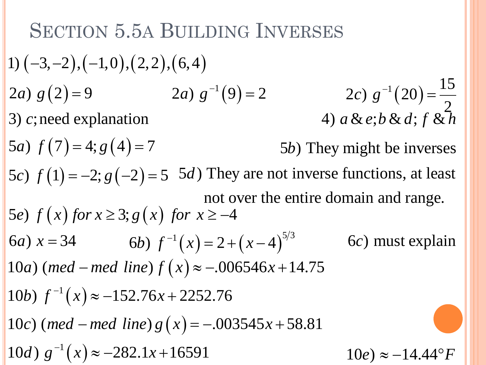SECTION 5.5A BUILDING INVERSES  $1) (-3, -2), (-1, 0), (2, 2), (6, 4)$ 2*a*)  $g(2)=9$  2*a*)  $g^{-1}(9)=2$  2*c*)  $g^{-1}(20)=\frac{15}{2}$ <br>3) *c*:need explanation 4) *a* & *e*;*b* & *d*; *f* & *h* 3) *c*; need explanation 5*a*)  $f(7) = 4$ ;  $g(4) = 7$  5*b*) They might be inverses 5c)  $f(1) = -2$ ;  $g(-2) = 5$  5d) They are not inverse functions, at least not over the entire domain and range. 5e)  $f(x)$  for  $x \ge 3$ ;  $g(x)$  for  $x \ge -4$ 6*a*)  $x = 34$  *6b*)  $f^{-1}(x) = 2 + (x - 4)^{5/3}$  *6c*) must explain 10*a*) (*med – med line*)  $f(x) \approx -.006546x + 14.75$  $(10b) f^{-1}(x) \approx -152.76x + 2252.76$ 10c) (*med – med line*)  $g(x) = -.003545x + 58.81$  $(10d) g^{-1}(x) \approx -282.1x + 16591$   $10e) \approx -14.44^{\circ}F$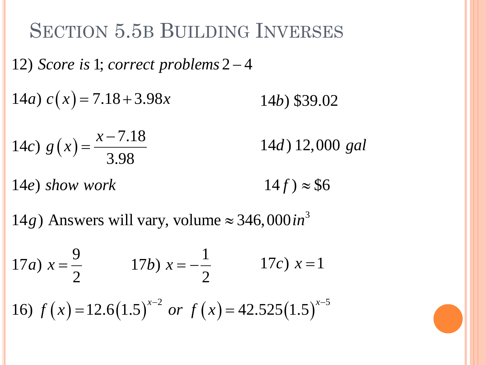### SECTION 5.5B BUILDING INVERSES

12) Score is 1; correct problems 2 – 4

14*a*)  $c(x) = 7.18 + 3.98x$  14*b*) \$39.02

$$
14c) \t g\left(x\right) = \frac{x - 7.18}{3.98} \t 14d) \t 12,000 \t gal
$$

14*e*) *show work* 14*f*)  $\approx$  \$6

 $14g$ ) Answers will vary, volume  $\approx 346,000 \text{ in}^3$ 

17*a*) 
$$
x = \frac{9}{2}
$$
 17*b*)  $x = -\frac{1}{2}$  17*c*)  $x = 1$   
16)  $f(x) = 12.6(1.5)^{x-2}$  or  $f(x) = 42.525(1.5)^{x-5}$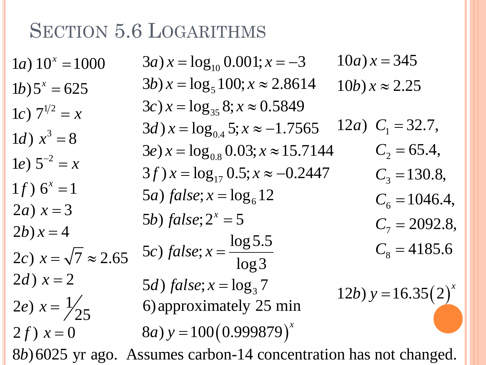# **SECTION 5.6 LOGARITHMS**

1a) 
$$
10^x = 1000
$$
 \n3a)  $x = \log_{10} 0.001; x = -3$  \n10a)  $x = 345$   
\n1b)  $5^x = 625$  \n3b)  $x = \log_5 100; x \approx 2.8614$  \n10b)  $x \approx 2.25$   
\n1c)  $7^{1/2} = x$  \n3c)  $x = \log_{35} 8; x \approx 0.5849$   
\n3d)  $x = \log_{0.4} 5; x \approx -1.7565$  \n12a)  $C_1 = 32.7$ ,  
\n1d)  $x^3 = 8$  \n3e)  $x = \log_{0.8} 0.03; x \approx 15.7144$  \n $C_2 = 65.4$ ,  
\n1e)  $5^{-2} = x$  \n3f)  $x = \log_{10} 0.5; x \approx -0.2447$  \n $C_3 = 130.8$ ,  
\n1f)  $6^x = 1$  \n5a) *false*;  $x = \log_6 12$  \n $C_6 = 1046.4$ ,  
\n2a)  $x = 3$  \n5b) *false*;  $2^x = 5$  \n $C_7 = 2092.8$ ,  
\n2c)  $x = \sqrt{7} \approx 2.65$  \n5c) *false*;  $x = \frac{\log 5.5}{\log 3}$  \n $C_8 = 4185.6$   
\n2d)  $x = 2$  \n5d) *false*;  $x = \log_3 7$  \n2e)  $x = \frac{1}{25}$  \n6) approximately 25 min  
\n2f)  $x = 0$  \n8a)  $y = 100(0.999879)^x$   
\n8b) *6025* yr ago. Assume carbon-14 concentration has not changed.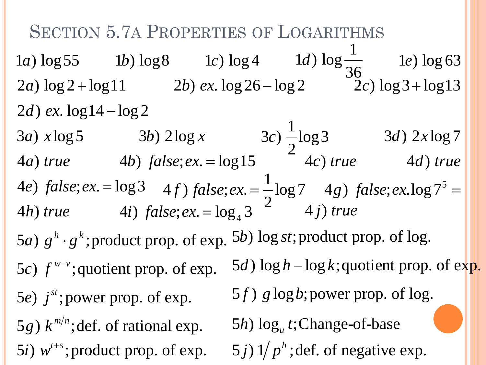SECTION 5.7A PROPERTIES OF LOGARITHMS  $1a) \log 55$  *lb*)  $\log 8$  *lc*)  $\log 4$  $1 d$ )  $\log \frac{1}{36}$ *d*)  $\log \frac{1}{26}$  *le*)  $\log 63$  $2a) \log 2 + \log 11$  2*b*) ex.  $\log 26 - \log 2$   $\frac{36}{2}$   $2c) \log 3 + \log 13$ 2*d*) ex. log14 - log2 3*a*)  $x \log 5$  3*b*)  $2 \log x$  3*c*)  $\frac{1}{2} \log 3$ *c*)  $\frac{1}{2} \log 3$  3*d*)  $2x \log 7$ 4*a*) *true* 4*b*) *false*; *ex*. =  $\log 15$  <sup>*b*</sup> 4*c*) *true* 4*d*) *true* 4*e*)  $false; ex = log 3$ 4*f*) *false*;  $ex = \frac{1}{2} \log 7$  $(4g)$  false; ex.  $\log 7^5 =$ 4*h*) *true* 4*i*) *false*; *ex*. =  $\log_4 3$  4*j*) *true* 5*a*)  $g^h \cdot g^k$ ; product prop. of exp. 5*b*) log *st*; product prop. of log. 5c)  $f^{w-v}$ ; quotient prop. of exp. 5*d*) log *h* − log *k*; quotient prop. of exp. 5e)  $j^{st}$ ; power prop. of exp.  $5f$  g log b; power prop. of log. 5*g*)  $k^{m/n}$ ; def. of rational exp. *5h*)  $\log_{u} t$ ; Change-of-base 5*i*)  $w^{t+s}$ ; product prop. of exp.  $\frac{1}{2}$  *j*  $\frac{1}{p^h}$ ; def. of negative exp.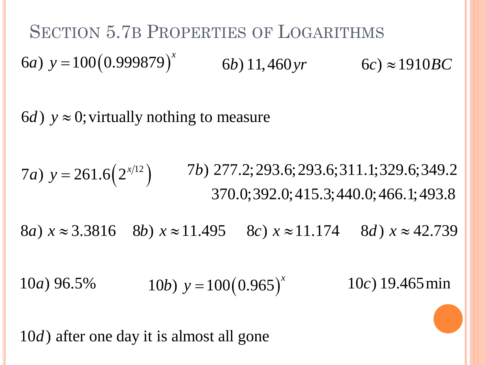**SECTION 5.7B PROPERTIES OF LOGARITHMS** 6a)  $y = 100(0.999879)^{x}$  $(b)$  11,460 yr  $6c \approx 1910BC$ 

6*d*)  $y \approx 0$ ; virtually nothing to measure

7a)  $y = 261.6(2^{x/12})$ 7b) 277.2; 293.6; 293.6; 311.1; 329.6; 349.2 370.0;392.0;415.3;440.0;466.1;493.8

8a)  $x \approx 3.3816$  8b)  $x \approx 11.495$ 8c)  $x \approx 11.174$  8d)  $x \approx 42.739$ 

10*b*)  $y = 100(0.965)^{x}$  $10a) 96.5%$  $10c$ ) 19.465 min

10d) after one day it is almost all gone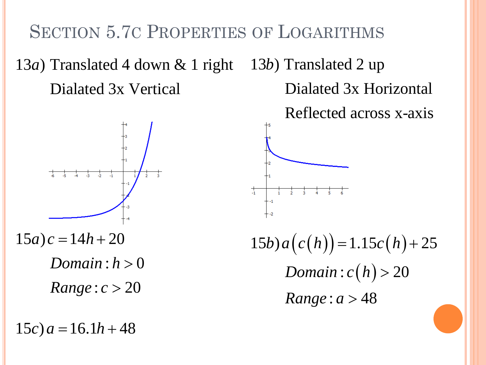SECTION 5.7C PROPERTIES OF LOGARITHMS

13*a*) Translated 4 down & 1 right 13*b*) Translated 2 up Dialated 3x Vertical 13*b*) Translated 2 up

 $15a$ )  $c = 14h + 20$ 

 $Domain: h > 0$  $Range: c > 20$ 

 $15c$ )  $a = 16.1h + 48$ 

Dialated 3x Horizontal Reflected across x-axis  $15b$ )  $a(c(h)) = 1.15c(h) + 25$ *Domain* :  $c(h)$  > 20 *Range*: *a* > 48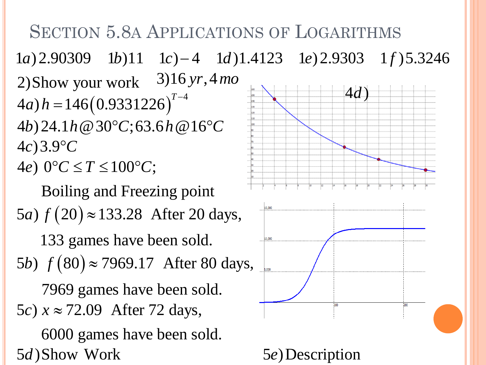### **SECTION 5.8A APPLICATIONS OF LOGARITHMS**

 $(a) 2.90309$   $(b) 11$   $(c) - 4$   $(d) 1.4123$   $(e) 2.9303$   $(f) 5.3246$ 2) Show your work  $3)16 yr, 4 mo$  $4d$  $4a)h = 146(0.9331226)^{T-4}$ 4b) 24.1h @ 30°C; 63.6h @ 16°C  $4c)3.9$ °C 4e)  $0^{\circ}C \leq T \leq 100^{\circ}C$ ;

Boiling and Freezing point 5a)  $f(20) \approx 133.28$  After 20 days, 133 games have been sold. 5b)  $f(80) \approx 7969.17$  After 80 days, 7969 games have been sold. 5c)  $x \approx 72.09$  After 72 days, 6000 games have been sold.

5d)Show Work